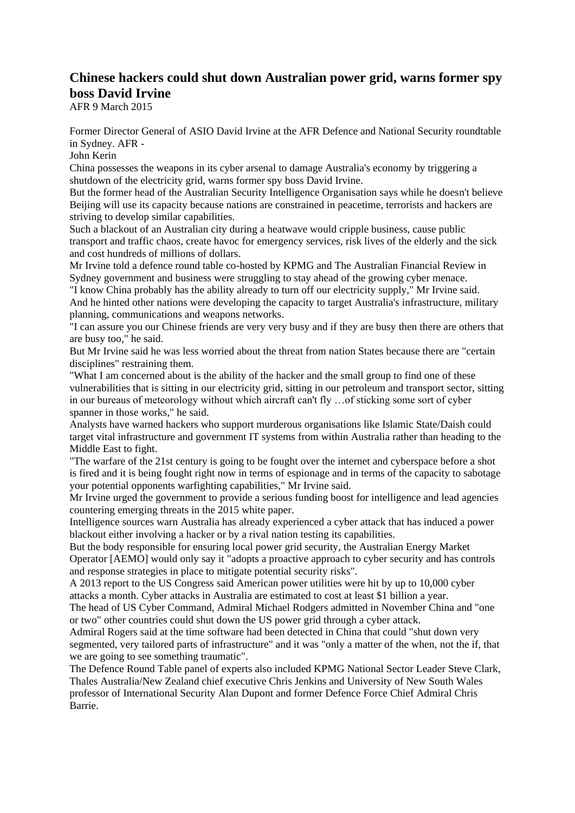## **Chinese hackers could shut down Australian power grid, warns former spy boss David Irvine**

AFR 9 March 2015

Former Director General of ASIO David Irvine at the AFR Defence and National Security roundtable in Sydney. AFR -

John Kerin

China possesses the weapons in its cyber arsenal to damage Australia's economy by triggering a shutdown of the electricity grid, warns former spy boss David Irvine.

But the former head of the Australian Security Intelligence Organisation says while he doesn't believe Beijing will use its capacity because nations are constrained in peacetime, terrorists and hackers are striving to develop similar capabilities.

Such a blackout of an Australian city during a heatwave would cripple business, cause public transport and traffic chaos, create havoc for emergency services, risk lives of the elderly and the sick and cost hundreds of millions of dollars.

Mr Irvine told a defence round table co-hosted by KPMG and The Australian Financial Review in Sydney government and business were struggling to stay ahead of the growing cyber menace.

"I know China probably has the ability already to turn off our electricity supply," Mr Irvine said. And he hinted other nations were developing the capacity to target Australia's infrastructure, military planning, communications and weapons networks.

"I can assure you our Chinese friends are very very busy and if they are busy then there are others that are busy too," he said.

But Mr Irvine said he was less worried about the threat from nation States because there are "certain disciplines" restraining them.

"What I am concerned about is the ability of the hacker and the small group to find one of these vulnerabilities that is sitting in our electricity grid, sitting in our petroleum and transport sector, sitting in our bureaus of meteorology without which aircraft can't fly …of sticking some sort of cyber spanner in those works," he said.

Analysts have warned hackers who support murderous organisations like Islamic State/Daish could target vital infrastructure and government IT systems from within Australia rather than heading to the Middle East to fight.

"The warfare of the 21st century is going to be fought over the internet and cyberspace before a shot is fired and it is being fought right now in terms of espionage and in terms of the capacity to sabotage your potential opponents warfighting capabilities," Mr Irvine said.

Mr Irvine urged the government to provide a serious funding boost for intelligence and lead agencies countering emerging threats in the 2015 white paper.

Intelligence sources warn Australia has already experienced a cyber attack that has induced a power blackout either involving a hacker or by a rival nation testing its capabilities.

But the body responsible for ensuring local power grid security, the Australian Energy Market Operator [AEMO] would only say it "adopts a proactive approach to cyber security and has controls and response strategies in place to mitigate potential security risks".

A 2013 report to the US Congress said American power utilities were hit by up to 10,000 cyber attacks a month. Cyber attacks in Australia are estimated to cost at least \$1 billion a year.

The head of US Cyber Command, Admiral Michael Rodgers admitted in November China and "one or two" other countries could shut down the US power grid through a cyber attack.

Admiral Rogers said at the time software had been detected in China that could "shut down very segmented, very tailored parts of infrastructure" and it was "only a matter of the when, not the if, that we are going to see something traumatic".

The Defence Round Table panel of experts also included KPMG National Sector Leader Steve Clark, Thales Australia/New Zealand chief executive Chris Jenkins and University of New South Wales professor of International Security Alan Dupont and former Defence Force Chief Admiral Chris Barrie.